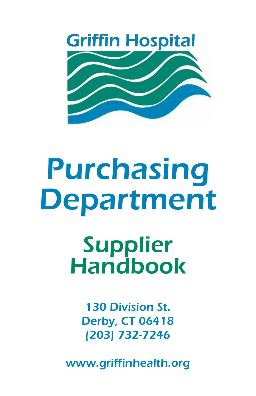

# Purchasing Department

Supplier Handbook

> 130 Division St. Derby, CT 06418 (203) 732-7246

www.griffinhealth.org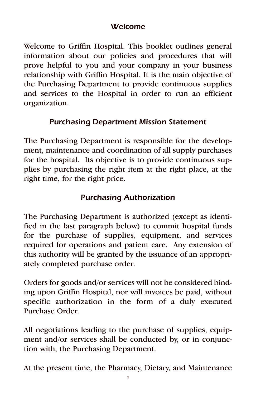## Welcome

Welcome to Griffin Hospital. This booklet outlines general information about our policies and procedures that will prove helpful to you and your company in your business relationship with Griffin Hospital. It is the main objective of the Purchasing Department to provide continuous supplies and services to the Hospital in order to run an efficient organization.

## Purchasing Department Mission Statement

The Purchasing Department is responsible for the development, maintenance and coordination of all supply purchases for the hospital. Its objective is to provide continuous supplies by purchasing the right item at the right place, at the right time, for the right price.

# Purchasing Authorization

The Purchasing Department is authorized (except as identified in the last paragraph below) to commit hospital funds for the purchase of supplies, equipment, and services required for operations and patient care. Any extension of this authority will be granted by the issuance of an appropriately completed purchase order.

Orders for goods and/or services will not be considered binding upon Griffin Hospital, nor will invoices be paid, without specific authorization in the form of a duly executed Purchase Order.

All negotiations leading to the purchase of supplies, equipment and/or services shall be conducted by, or in conjunction with, the Purchasing Department.

At the present time, the Pharmacy, Dietary, and Maintenance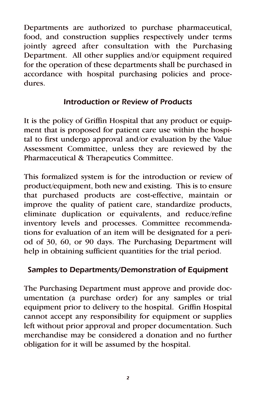Departments are authorized to purchase pharmaceutical, food, and construction supplies respectively under terms jointly agreed after consultation with the Purchasing Department. All other supplies and/or equipment required for the operation of these departments shall be purchased in accordance with hospital purchasing policies and procedures.

#### Introduction or Review of Products

It is the policy of Griffin Hospital that any product or equipment that is proposed for patient care use within the hospital to first undergo approval and/or evaluation by the Value Assessment Committee, unless they are reviewed by the Pharmaceutical & Therapeutics Committee.

This formalized system is for the introduction or review of product/equipment, both new and existing. This is to ensure that purchased products are cost-effective, maintain or improve the quality of patient care, standardize products, eliminate duplication or equivalents, and reduce/refine inventory levels and processes. Committee recommendations for evaluation of an item will be designated for a period of 30, 60, or 90 days. The Purchasing Department will help in obtaining sufficient quantities for the trial period.

## Samples to Departments/Demonstration of Equipment

The Purchasing Department must approve and provide documentation (a purchase order) for any samples or trial equipment prior to delivery to the hospital. Griffin Hospital cannot accept any responsibility for equipment or supplies left without prior approval and proper documentation. Such merchandise may be considered a donation and no further obligation for it will be assumed by the hospital.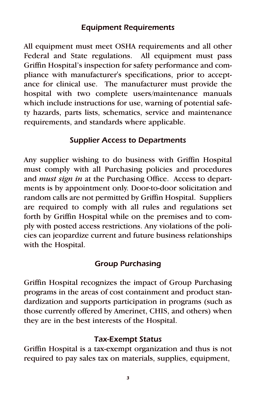### Equipment Requirements

All equipment must meet OSHA requirements and all other Federal and State regulations. All equipment must pass Griffin Hospital's inspection for safety performance and compliance with manufacturer's specifications, prior to acceptance for clinical use. The manufacturer must provide the hospital with two complete users/maintenance manuals which include instructions for use, warning of potential safety hazards, parts lists, schematics, service and maintenance requirements, and standards where applicable.

## Supplier Access to Departments

Any supplier wishing to do business with Griffin Hospital must comply with all Purchasing policies and procedures and *must sign in* at the Purchasing Office. Access to departments is by appointment only. Door-to-door solicitation and random calls are not permitted by Griffin Hospital. Suppliers are required to comply with all rules and regulations set forth by Griffin Hospital while on the premises and to comply with posted access restrictions. Any violations of the policies can jeopardize current and future business relationships with the Hospital.

## Group Purchasing

Griffin Hospital recognizes the impact of Group Purchasing programs in the areas of cost containment and product standardization and supports participation in programs (such as those currently offered by Amerinet, CHIS, and others) when they are in the best interests of the Hospital.

### Tax-Exempt Status

Griffin Hospital is a tax-exempt organization and thus is not required to pay sales tax on materials, supplies, equipment,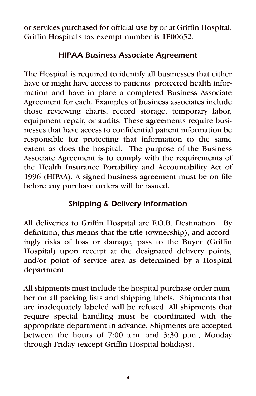or services purchased for official use by or at Griffin Hospital. Griffin Hospital's tax exempt number is 1E00652.

# HIPAA Business Associate Agreement

The Hospital is required to identify all businesses that either have or might have access to patients' protected health information and have in place a completed Business Associate Agreement for each. Examples of business associates include those reviewing charts, record storage, temporary labor, equipment repair, or audits. These agreements require businesses that have access to confidential patient information be responsible for protecting that information to the same extent as does the hospital. The purpose of the Business Associate Agreement is to comply with the requirements of the Health Insurance Portability and Accountability Act of 1996 (HIPAA). A signed business agreement must be on file before any purchase orders will be issued.

# Shipping & Delivery Information

All deliveries to Griffin Hospital are F.O.B. Destination. By definition, this means that the title (ownership), and accordingly risks of loss or damage, pass to the Buyer (Griffin Hospital) upon receipt at the designated delivery points, and/or point of service area as determined by a Hospital department.

All shipments must include the hospital purchase order number on all packing lists and shipping labels. Shipments that are inadequately labeled will be refused. All shipments that require special handling must be coordinated with the appropriate department in advance. Shipments are accepted between the hours of 7:00 a.m. and 3:30 p.m., Monday through Friday (except Griffin Hospital holidays).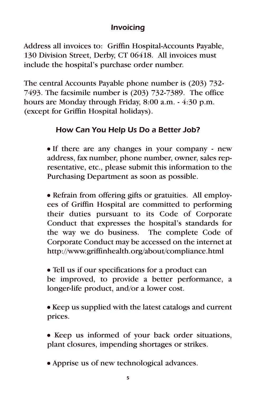## Invoicing

Address all invoices to: Griffin Hospital-Accounts Payable, 130 Division Street, Derby, CT 06418. All invoices must include the hospital's purchase order number.

The central Accounts Payable phone number is (203) 732- 7493. The facsimile number is (203) 732-7389. The office hours are Monday through Friday, 8:00 a.m. - 4:30 p.m. (except for Griffin Hospital holidays).

# How Can You Help Us Do a Better Job?

• If there are any changes in your company - new address, fax number, phone number, owner, sales representative, etc., please submit this information to the Purchasing Department as soon as possible.

• Refrain from offering gifts or gratuities. All employees of Griffin Hospital are committed to performing their duties pursuant to its Code of Corporate Conduct that expresses the hospital's standards for the way we do business. The complete Code of Corporate Conduct may be accessed on the internet at http://www.griffinhealth.org/about/compliance.html

• Tell us if our specifications for a product can be improved, to provide a better performance, a longer-life product, and/or a lower cost.

• Keep us supplied with the latest catalogs and current prices.

• Keep us informed of your back order situations, plant closures, impending shortages or strikes.

• Apprise us of new technological advances.